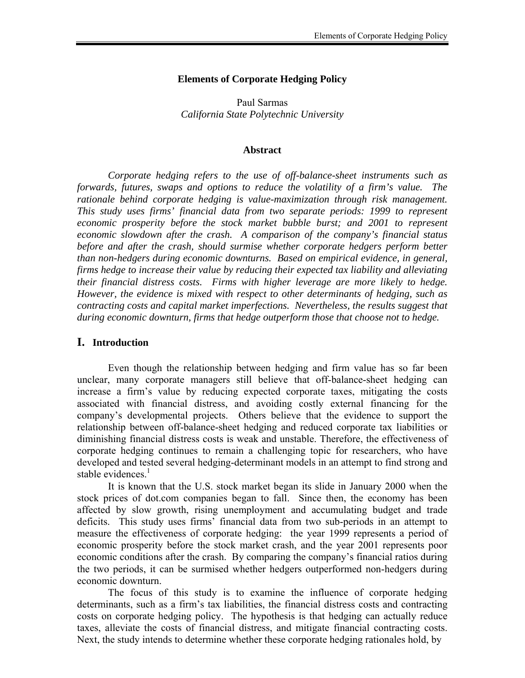#### **Elements of Corporate Hedging Policy**

Paul Sarmas *California State Polytechnic University* 

#### **Abstract**

*Corporate hedging refers to the use of off-balance-sheet instruments such as forwards, futures, swaps and options to reduce the volatility of a firm's value. The rationale behind corporate hedging is value-maximization through risk management. This study uses firms' financial data from two separate periods: 1999 to represent economic prosperity before the stock market bubble burst; and 2001 to represent economic slowdown after the crash. A comparison of the company's financial status before and after the crash, should surmise whether corporate hedgers perform better than non-hedgers during economic downturns. Based on empirical evidence, in general, firms hedge to increase their value by reducing their expected tax liability and alleviating their financial distress costs. Firms with higher leverage are more likely to hedge. However, the evidence is mixed with respect to other determinants of hedging, such as contracting costs and capital market imperfections. Nevertheless, the results suggest that during economic downturn, firms that hedge outperform those that choose not to hedge.* 

#### **I. Introduction**

 Even though the relationship between hedging and firm value has so far been unclear, many corporate managers still believe that off-balance-sheet hedging can increase a firm's value by reducing expected corporate taxes, mitigating the costs associated with financial distress, and avoiding costly external financing for the company's developmental projects. Others believe that the evidence to support the relationship between off-balance-sheet hedging and reduced corporate tax liabilities or diminishing financial distress costs is weak and unstable. Therefore, the effectiveness of corporate hedging continues to remain a challenging topic for researchers, who have developed and tested several hedging-determinant models in an attempt to find strong and stable evidences.<sup>1</sup>

 It is known that the U.S. stock market began its slide in January 2000 when the stock prices of dot.com companies began to fall. Since then, the economy has been affected by slow growth, rising unemployment and accumulating budget and trade deficits. This study uses firms' financial data from two sub-periods in an attempt to measure the effectiveness of corporate hedging: the year 1999 represents a period of economic prosperity before the stock market crash, and the year 2001 represents poor economic conditions after the crash. By comparing the company's financial ratios during the two periods, it can be surmised whether hedgers outperformed non-hedgers during economic downturn.

 The focus of this study is to examine the influence of corporate hedging determinants, such as a firm's tax liabilities, the financial distress costs and contracting costs on corporate hedging policy. The hypothesis is that hedging can actually reduce taxes, alleviate the costs of financial distress, and mitigate financial contracting costs. Next, the study intends to determine whether these corporate hedging rationales hold, by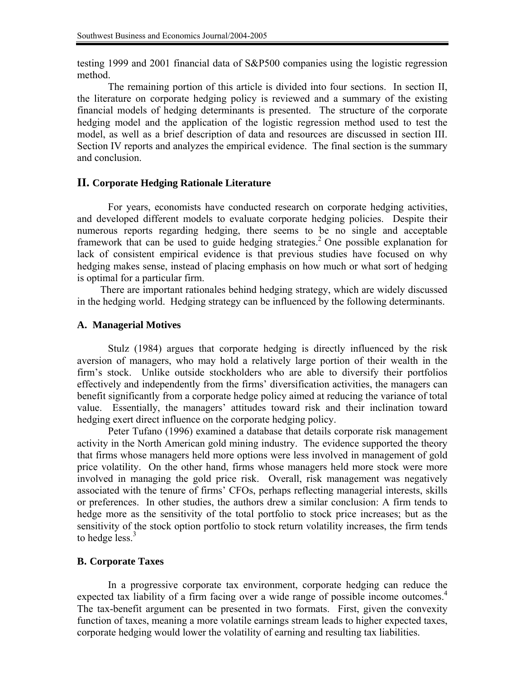testing 1999 and 2001 financial data of S&P500 companies using the logistic regression method.

 The remaining portion of this article is divided into four sections. In section II, the literature on corporate hedging policy is reviewed and a summary of the existing financial models of hedging determinants is presented. The structure of the corporate hedging model and the application of the logistic regression method used to test the model, as well as a brief description of data and resources are discussed in section III. Section IV reports and analyzes the empirical evidence. The final section is the summary and conclusion.

### **II. Corporate Hedging Rationale Literature**

 For years, economists have conducted research on corporate hedging activities, and developed different models to evaluate corporate hedging policies. Despite their numerous reports regarding hedging, there seems to be no single and acceptable framework that can be used to guide hedging strategies.<sup>2</sup> One possible explanation for lack of consistent empirical evidence is that previous studies have focused on why hedging makes sense, instead of placing emphasis on how much or what sort of hedging is optimal for a particular firm.

 There are important rationales behind hedging strategy, which are widely discussed in the hedging world. Hedging strategy can be influenced by the following determinants.

### **A. Managerial Motives**

 Stulz (1984) argues that corporate hedging is directly influenced by the risk aversion of managers, who may hold a relatively large portion of their wealth in the firm's stock. Unlike outside stockholders who are able to diversify their portfolios effectively and independently from the firms' diversification activities, the managers can benefit significantly from a corporate hedge policy aimed at reducing the variance of total value. Essentially, the managers' attitudes toward risk and their inclination toward hedging exert direct influence on the corporate hedging policy.

 Peter Tufano (1996) examined a database that details corporate risk management activity in the North American gold mining industry. The evidence supported the theory that firms whose managers held more options were less involved in management of gold price volatility. On the other hand, firms whose managers held more stock were more involved in managing the gold price risk. Overall, risk management was negatively associated with the tenure of firms' CFOs, perhaps reflecting managerial interests, skills or preferences. In other studies, the authors drew a similar conclusion: A firm tends to hedge more as the sensitivity of the total portfolio to stock price increases; but as the sensitivity of the stock option portfolio to stock return volatility increases, the firm tends to hedge  $less<sup>3</sup>$ 

### **B. Corporate Taxes**

 In a progressive corporate tax environment, corporate hedging can reduce the expected tax liability of a firm facing over a wide range of possible income outcomes.<sup>4</sup> The tax-benefit argument can be presented in two formats. First, given the convexity function of taxes, meaning a more volatile earnings stream leads to higher expected taxes, corporate hedging would lower the volatility of earning and resulting tax liabilities.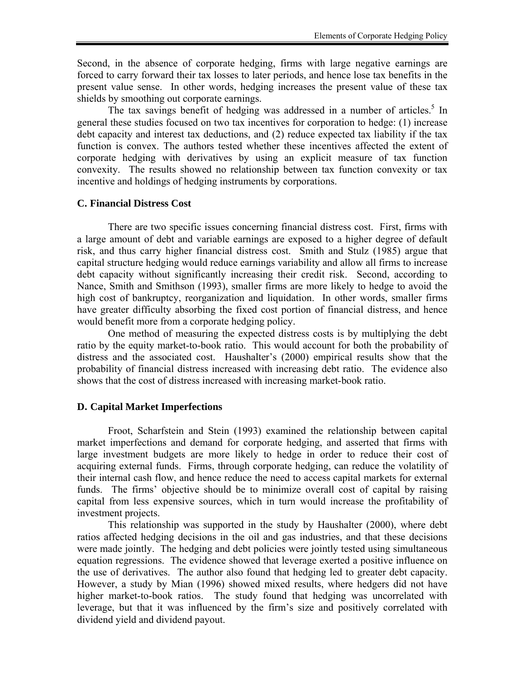Second, in the absence of corporate hedging, firms with large negative earnings are forced to carry forward their tax losses to later periods, and hence lose tax benefits in the present value sense. In other words, hedging increases the present value of these tax shields by smoothing out corporate earnings.

The tax savings benefit of hedging was addressed in a number of articles.<sup>5</sup> In general these studies focused on two tax incentives for corporation to hedge: (1) increase debt capacity and interest tax deductions, and (2) reduce expected tax liability if the tax function is convex. The authors tested whether these incentives affected the extent of corporate hedging with derivatives by using an explicit measure of tax function convexity. The results showed no relationship between tax function convexity or tax incentive and holdings of hedging instruments by corporations.

### **C. Financial Distress Cost**

 There are two specific issues concerning financial distress cost. First, firms with a large amount of debt and variable earnings are exposed to a higher degree of default risk, and thus carry higher financial distress cost. Smith and Stulz (1985) argue that capital structure hedging would reduce earnings variability and allow all firms to increase debt capacity without significantly increasing their credit risk. Second, according to Nance, Smith and Smithson (1993), smaller firms are more likely to hedge to avoid the high cost of bankruptcy, reorganization and liquidation. In other words, smaller firms have greater difficulty absorbing the fixed cost portion of financial distress, and hence would benefit more from a corporate hedging policy.

 One method of measuring the expected distress costs is by multiplying the debt ratio by the equity market-to-book ratio. This would account for both the probability of distress and the associated cost. Haushalter's (2000) empirical results show that the probability of financial distress increased with increasing debt ratio. The evidence also shows that the cost of distress increased with increasing market-book ratio.

### **D. Capital Market Imperfections**

 Froot, Scharfstein and Stein (1993) examined the relationship between capital market imperfections and demand for corporate hedging, and asserted that firms with large investment budgets are more likely to hedge in order to reduce their cost of acquiring external funds. Firms, through corporate hedging, can reduce the volatility of their internal cash flow, and hence reduce the need to access capital markets for external funds. The firms' objective should be to minimize overall cost of capital by raising capital from less expensive sources, which in turn would increase the profitability of investment projects.

 This relationship was supported in the study by Haushalter (2000), where debt ratios affected hedging decisions in the oil and gas industries, and that these decisions were made jointly. The hedging and debt policies were jointly tested using simultaneous equation regressions. The evidence showed that leverage exerted a positive influence on the use of derivatives. The author also found that hedging led to greater debt capacity. However, a study by Mian (1996) showed mixed results, where hedgers did not have higher market-to-book ratios. The study found that hedging was uncorrelated with leverage, but that it was influenced by the firm's size and positively correlated with dividend yield and dividend payout.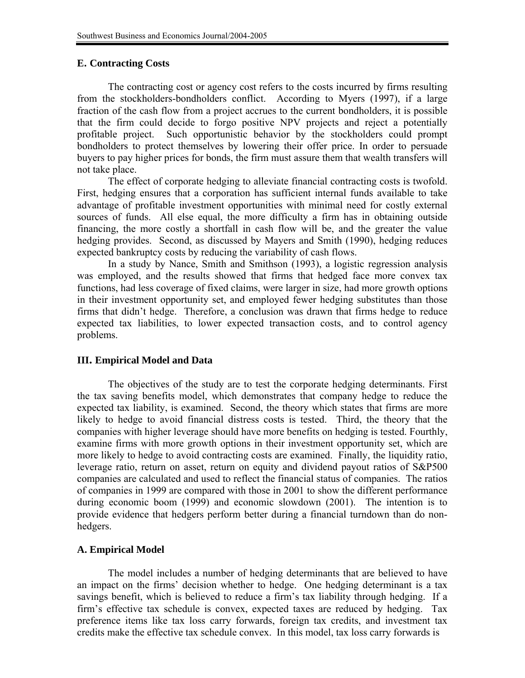#### **E. Contracting Costs**

 The contracting cost or agency cost refers to the costs incurred by firms resulting from the stockholders-bondholders conflict. According to Myers (1997), if a large fraction of the cash flow from a project accrues to the current bondholders, it is possible that the firm could decide to forgo positive NPV projects and reject a potentially profitable project. Such opportunistic behavior by the stockholders could prompt bondholders to protect themselves by lowering their offer price. In order to persuade buyers to pay higher prices for bonds, the firm must assure them that wealth transfers will not take place.

 The effect of corporate hedging to alleviate financial contracting costs is twofold. First, hedging ensures that a corporation has sufficient internal funds available to take advantage of profitable investment opportunities with minimal need for costly external sources of funds. All else equal, the more difficulty a firm has in obtaining outside financing, the more costly a shortfall in cash flow will be, and the greater the value hedging provides. Second, as discussed by Mayers and Smith (1990), hedging reduces expected bankruptcy costs by reducing the variability of cash flows.

 In a study by Nance, Smith and Smithson (1993), a logistic regression analysis was employed, and the results showed that firms that hedged face more convex tax functions, had less coverage of fixed claims, were larger in size, had more growth options in their investment opportunity set, and employed fewer hedging substitutes than those firms that didn't hedge. Therefore, a conclusion was drawn that firms hedge to reduce expected tax liabilities, to lower expected transaction costs, and to control agency problems.

### **III. Empirical Model and Data**

 The objectives of the study are to test the corporate hedging determinants. First the tax saving benefits model, which demonstrates that company hedge to reduce the expected tax liability, is examined. Second, the theory which states that firms are more likely to hedge to avoid financial distress costs is tested. Third, the theory that the companies with higher leverage should have more benefits on hedging is tested. Fourthly, examine firms with more growth options in their investment opportunity set, which are more likely to hedge to avoid contracting costs are examined. Finally, the liquidity ratio, leverage ratio, return on asset, return on equity and dividend payout ratios of S&P500 companies are calculated and used to reflect the financial status of companies. The ratios of companies in 1999 are compared with those in 2001 to show the different performance during economic boom (1999) and economic slowdown (2001). The intention is to provide evidence that hedgers perform better during a financial turndown than do nonhedgers.

### **A. Empirical Model**

 The model includes a number of hedging determinants that are believed to have an impact on the firms' decision whether to hedge. One hedging determinant is a tax savings benefit, which is believed to reduce a firm's tax liability through hedging. If a firm's effective tax schedule is convex, expected taxes are reduced by hedging. Tax preference items like tax loss carry forwards, foreign tax credits, and investment tax credits make the effective tax schedule convex. In this model, tax loss carry forwards is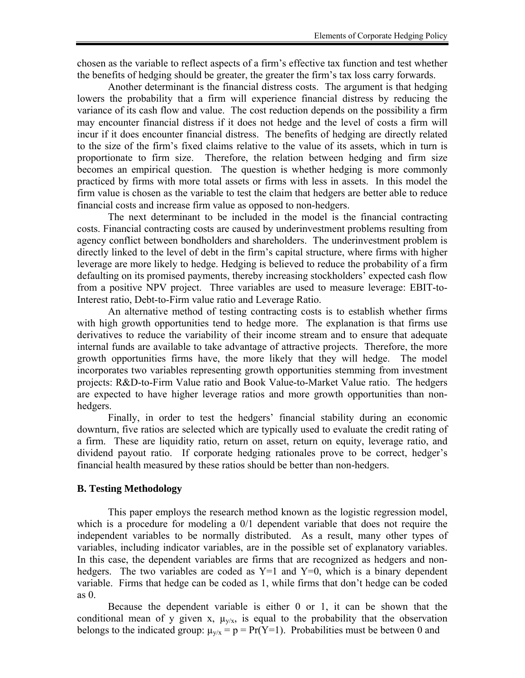chosen as the variable to reflect aspects of a firm's effective tax function and test whether the benefits of hedging should be greater, the greater the firm's tax loss carry forwards.

 Another determinant is the financial distress costs. The argument is that hedging lowers the probability that a firm will experience financial distress by reducing the variance of its cash flow and value. The cost reduction depends on the possibility a firm may encounter financial distress if it does not hedge and the level of costs a firm will incur if it does encounter financial distress. The benefits of hedging are directly related to the size of the firm's fixed claims relative to the value of its assets, which in turn is proportionate to firm size. Therefore, the relation between hedging and firm size becomes an empirical question. The question is whether hedging is more commonly practiced by firms with more total assets or firms with less in assets. In this model the firm value is chosen as the variable to test the claim that hedgers are better able to reduce financial costs and increase firm value as opposed to non-hedgers.

 The next determinant to be included in the model is the financial contracting costs. Financial contracting costs are caused by underinvestment problems resulting from agency conflict between bondholders and shareholders. The underinvestment problem is directly linked to the level of debt in the firm's capital structure, where firms with higher leverage are more likely to hedge. Hedging is believed to reduce the probability of a firm defaulting on its promised payments, thereby increasing stockholders' expected cash flow from a positive NPV project. Three variables are used to measure leverage: EBIT-to-Interest ratio, Debt-to-Firm value ratio and Leverage Ratio.

 An alternative method of testing contracting costs is to establish whether firms with high growth opportunities tend to hedge more. The explanation is that firms use derivatives to reduce the variability of their income stream and to ensure that adequate internal funds are available to take advantage of attractive projects. Therefore, the more growth opportunities firms have, the more likely that they will hedge. The model incorporates two variables representing growth opportunities stemming from investment projects: R&D-to-Firm Value ratio and Book Value-to-Market Value ratio. The hedgers are expected to have higher leverage ratios and more growth opportunities than nonhedgers.

 Finally, in order to test the hedgers' financial stability during an economic downturn, five ratios are selected which are typically used to evaluate the credit rating of a firm. These are liquidity ratio, return on asset, return on equity, leverage ratio, and dividend payout ratio. If corporate hedging rationales prove to be correct, hedger's financial health measured by these ratios should be better than non-hedgers.

### **B. Testing Methodology**

 This paper employs the research method known as the logistic regression model, which is a procedure for modeling a  $0/1$  dependent variable that does not require the independent variables to be normally distributed. As a result, many other types of variables, including indicator variables, are in the possible set of explanatory variables. In this case, the dependent variables are firms that are recognized as hedgers and nonhedgers. The two variables are coded as  $Y=1$  and  $Y=0$ , which is a binary dependent variable. Firms that hedge can be coded as 1, while firms that don't hedge can be coded as 0.

 Because the dependent variable is either 0 or 1, it can be shown that the conditional mean of y given x,  $\mu_{v/x}$ , is equal to the probability that the observation belongs to the indicated group:  $\mu_{v/x} = p = Pr(Y=1)$ . Probabilities must be between 0 and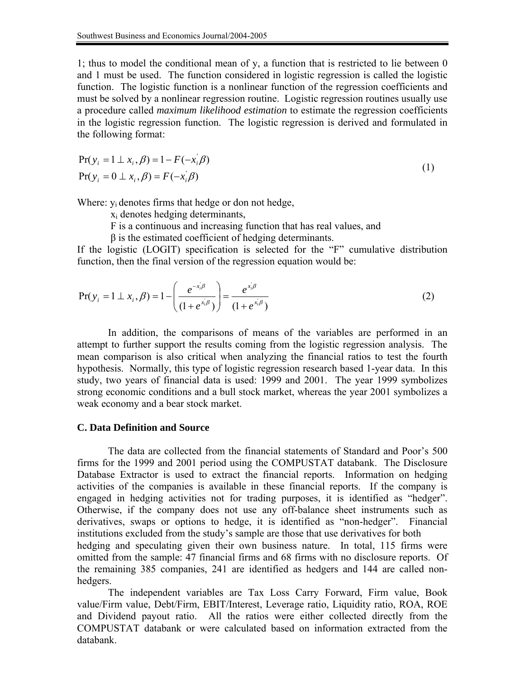1; thus to model the conditional mean of y, a function that is restricted to lie between 0 and 1 must be used. The function considered in logistic regression is called the logistic function. The logistic function is a nonlinear function of the regression coefficients and must be solved by a nonlinear regression routine. Logistic regression routines usually use a procedure called *maximum likelihood estimation* to estimate the regression coefficients in the logistic regression function. The logistic regression is derived and formulated in the following format:

$$
Pr(y_i = 1 \perp x_i, \beta) = 1 - F(-x_i/\beta)
$$
  
\n
$$
Pr(y_i = 0 \perp x_i, \beta) = F(-x_i/\beta)
$$
\n(1)

Where:  $y_i$  denotes firms that hedge or don not hedge,

xi denotes hedging determinants,

F is a continuous and increasing function that has real values, and

 $\beta$  is the estimated coefficient of hedging determinants.

If the logistic (LOGIT) specification is selected for the "F" cumulative distribution function, then the final version of the regression equation would be:

$$
Pr(y_i = 1 \perp x_i, \beta) = 1 - \left(\frac{e^{-x_i/\beta}}{(1 + e^{x_i/\beta})}\right) = \frac{e^{x_i/\beta}}{(1 + e^{x_i/\beta})}
$$
(2)

 In addition, the comparisons of means of the variables are performed in an attempt to further support the results coming from the logistic regression analysis. The mean comparison is also critical when analyzing the financial ratios to test the fourth hypothesis. Normally, this type of logistic regression research based 1-year data. In this study, two years of financial data is used: 1999 and 2001. The year 1999 symbolizes strong economic conditions and a bull stock market, whereas the year 2001 symbolizes a weak economy and a bear stock market.

#### **C. Data Definition and Source**

 The data are collected from the financial statements of Standard and Poor's 500 firms for the 1999 and 2001 period using the COMPUSTAT databank. The Disclosure Database Extractor is used to extract the financial reports. Information on hedging activities of the companies is available in these financial reports. If the company is engaged in hedging activities not for trading purposes, it is identified as "hedger". Otherwise, if the company does not use any off-balance sheet instruments such as derivatives, swaps or options to hedge, it is identified as "non-hedger". Financial institutions excluded from the study's sample are those that use derivatives for both hedging and speculating given their own business nature. In total, 115 firms were omitted from the sample: 47 financial firms and 68 firms with no disclosure reports. Of the remaining 385 companies, 241 are identified as hedgers and 144 are called nonhedgers.

 The independent variables are Tax Loss Carry Forward, Firm value, Book value/Firm value, Debt/Firm, EBIT/Interest, Leverage ratio, Liquidity ratio, ROA, ROE and Dividend payout ratio. All the ratios were either collected directly from the COMPUSTAT databank or were calculated based on information extracted from the databank.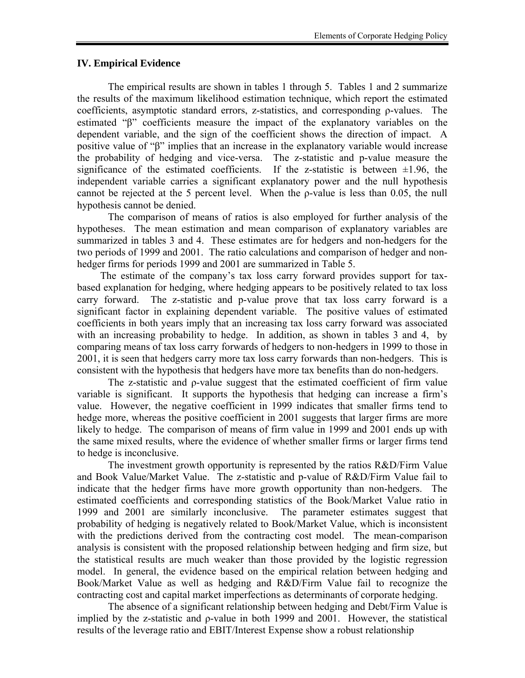#### **IV. Empirical Evidence**

 The empirical results are shown in tables 1 through 5. Tables 1 and 2 summarize the results of the maximum likelihood estimation technique, which report the estimated coefficients, asymptotic standard errors, z-statistics, and corresponding ρ-values. The estimated "β" coefficients measure the impact of the explanatory variables on the dependent variable, and the sign of the coefficient shows the direction of impact. A positive value of "β" implies that an increase in the explanatory variable would increase the probability of hedging and vice-versa. The z-statistic and p-value measure the significance of the estimated coefficients. If the z-statistic is between  $\pm 1.96$ , the independent variable carries a significant explanatory power and the null hypothesis cannot be rejected at the 5 percent level. When the ρ-value is less than 0.05, the null hypothesis cannot be denied.

 The comparison of means of ratios is also employed for further analysis of the hypotheses. The mean estimation and mean comparison of explanatory variables are summarized in tables 3 and 4. These estimates are for hedgers and non-hedgers for the two periods of 1999 and 2001. The ratio calculations and comparison of hedger and nonhedger firms for periods 1999 and 2001 are summarized in Table 5.

 The estimate of the company's tax loss carry forward provides support for taxbased explanation for hedging, where hedging appears to be positively related to tax loss carry forward. The z-statistic and p-value prove that tax loss carry forward is a significant factor in explaining dependent variable. The positive values of estimated coefficients in both years imply that an increasing tax loss carry forward was associated with an increasing probability to hedge. In addition, as shown in tables 3 and 4, by comparing means of tax loss carry forwards of hedgers to non-hedgers in 1999 to those in 2001, it is seen that hedgers carry more tax loss carry forwards than non-hedgers. This is consistent with the hypothesis that hedgers have more tax benefits than do non-hedgers.

 The z-statistic and ρ-value suggest that the estimated coefficient of firm value variable is significant. It supports the hypothesis that hedging can increase a firm's value. However, the negative coefficient in 1999 indicates that smaller firms tend to hedge more, whereas the positive coefficient in 2001 suggests that larger firms are more likely to hedge. The comparison of means of firm value in 1999 and 2001 ends up with the same mixed results, where the evidence of whether smaller firms or larger firms tend to hedge is inconclusive.

 The investment growth opportunity is represented by the ratios R&D/Firm Value and Book Value/Market Value. The z-statistic and p-value of R&D/Firm Value fail to indicate that the hedger firms have more growth opportunity than non-hedgers. The estimated coefficients and corresponding statistics of the Book/Market Value ratio in 1999 and 2001 are similarly inconclusive. The parameter estimates suggest that probability of hedging is negatively related to Book/Market Value, which is inconsistent with the predictions derived from the contracting cost model. The mean-comparison analysis is consistent with the proposed relationship between hedging and firm size, but the statistical results are much weaker than those provided by the logistic regression model. In general, the evidence based on the empirical relation between hedging and Book/Market Value as well as hedging and R&D/Firm Value fail to recognize the contracting cost and capital market imperfections as determinants of corporate hedging.

 The absence of a significant relationship between hedging and Debt/Firm Value is implied by the z-statistic and ρ-value in both 1999 and 2001. However, the statistical results of the leverage ratio and EBIT/Interest Expense show a robust relationship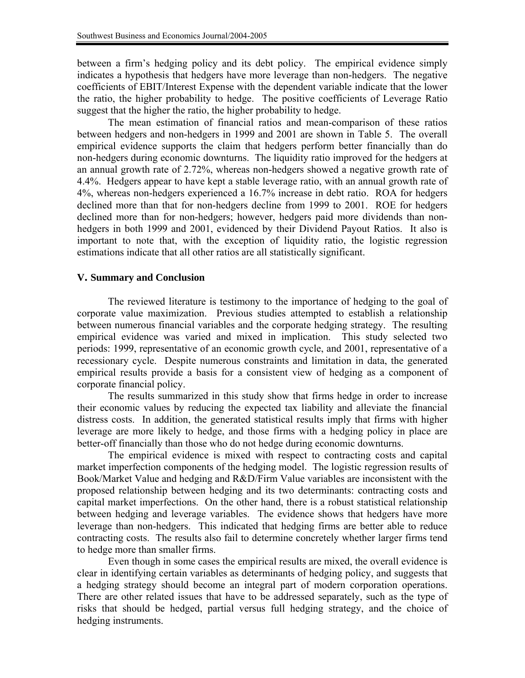between a firm's hedging policy and its debt policy. The empirical evidence simply indicates a hypothesis that hedgers have more leverage than non-hedgers. The negative coefficients of EBIT/Interest Expense with the dependent variable indicate that the lower the ratio, the higher probability to hedge. The positive coefficients of Leverage Ratio suggest that the higher the ratio, the higher probability to hedge.

 The mean estimation of financial ratios and mean-comparison of these ratios between hedgers and non-hedgers in 1999 and 2001 are shown in Table 5. The overall empirical evidence supports the claim that hedgers perform better financially than do non-hedgers during economic downturns. The liquidity ratio improved for the hedgers at an annual growth rate of 2.72%, whereas non-hedgers showed a negative growth rate of 4.4%. Hedgers appear to have kept a stable leverage ratio, with an annual growth rate of 4%, whereas non-hedgers experienced a 16.7% increase in debt ratio. ROA for hedgers declined more than that for non-hedgers decline from 1999 to 2001. ROE for hedgers declined more than for non-hedgers; however, hedgers paid more dividends than nonhedgers in both 1999 and 2001, evidenced by their Dividend Payout Ratios. It also is important to note that, with the exception of liquidity ratio, the logistic regression estimations indicate that all other ratios are all statistically significant.

### **V. Summary and Conclusion**

 The reviewed literature is testimony to the importance of hedging to the goal of corporate value maximization. Previous studies attempted to establish a relationship between numerous financial variables and the corporate hedging strategy. The resulting empirical evidence was varied and mixed in implication. This study selected two periods: 1999, representative of an economic growth cycle, and 2001, representative of a recessionary cycle. Despite numerous constraints and limitation in data, the generated empirical results provide a basis for a consistent view of hedging as a component of corporate financial policy.

 The results summarized in this study show that firms hedge in order to increase their economic values by reducing the expected tax liability and alleviate the financial distress costs. In addition, the generated statistical results imply that firms with higher leverage are more likely to hedge, and those firms with a hedging policy in place are better-off financially than those who do not hedge during economic downturns.

 The empirical evidence is mixed with respect to contracting costs and capital market imperfection components of the hedging model. The logistic regression results of Book/Market Value and hedging and R&D/Firm Value variables are inconsistent with the proposed relationship between hedging and its two determinants: contracting costs and capital market imperfections. On the other hand, there is a robust statistical relationship between hedging and leverage variables. The evidence shows that hedgers have more leverage than non-hedgers. This indicated that hedging firms are better able to reduce contracting costs. The results also fail to determine concretely whether larger firms tend to hedge more than smaller firms.

 Even though in some cases the empirical results are mixed, the overall evidence is clear in identifying certain variables as determinants of hedging policy, and suggests that a hedging strategy should become an integral part of modern corporation operations. There are other related issues that have to be addressed separately, such as the type of risks that should be hedged, partial versus full hedging strategy, and the choice of hedging instruments.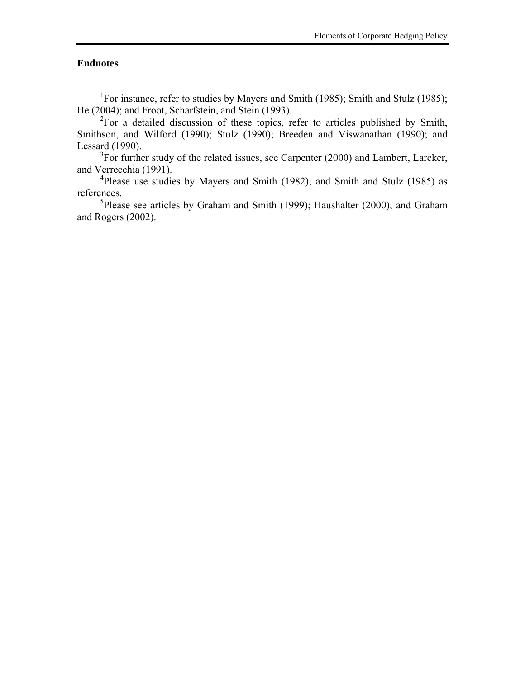### **Endnotes**

<sup>1</sup>For instance, refer to studies by Mayers and Smith (1985); Smith and Stulz (1985); He (2004); and Froot, Scharfstein, and Stein (1993).

 $2^2$ For a detailed discussion of these topics, refer to articles published by Smith, Smithson, and Wilford (1990); Stulz (1990); Breeden and Viswanathan (1990); and Lessard (1990).

 $3$ For further study of the related issues, see Carpenter (2000) and Lambert, Larcker, and Verrecchia (1991).

<sup>4</sup>Please use studies by Mayers and Smith (1982); and Smith and Stulz (1985) as references.

<sup>5</sup>Please see articles by Graham and Smith (1999); Haushalter (2000); and Graham and Rogers (2002).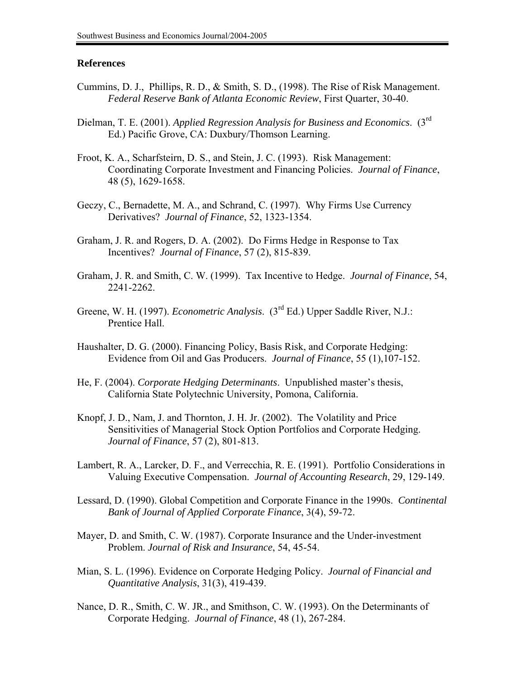#### **References**

- Cummins, D. J., Phillips, R. D., & Smith, S. D., (1998). The Rise of Risk Management. *Federal Reserve Bank of Atlanta Economic Review*, First Quarter, 30-40.
- Dielman, T. E. (2001). *Applied Regression Analysis for Business and Economics*. (3rd Ed.) Pacific Grove, CA: Duxbury/Thomson Learning.
- Froot, K. A., Scharfsteirn, D. S., and Stein, J. C. (1993). Risk Management: Coordinating Corporate Investment and Financing Policies. *Journal of Finance*, 48 (5), 1629-1658.
- Geczy, C., Bernadette, M. A., and Schrand, C. (1997). Why Firms Use Currency Derivatives? *Journal of Finance*, 52, 1323-1354.
- Graham, J. R. and Rogers, D. A. (2002). Do Firms Hedge in Response to Tax Incentives? *Journal of Finance*, 57 (2), 815-839.
- Graham, J. R. and Smith, C. W. (1999). Tax Incentive to Hedge. *Journal of Finance*, 54, 2241-2262.
- Greene, W. H. (1997). *Econometric Analysis*. (3rd Ed.) Upper Saddle River, N.J.: Prentice Hall.
- Haushalter, D. G. (2000). Financing Policy, Basis Risk, and Corporate Hedging: Evidence from Oil and Gas Producers. *Journal of Finance*, 55 (1),107-152.
- He, F. (2004). *Corporate Hedging Determinants*. Unpublished master's thesis, California State Polytechnic University, Pomona, California.
- Knopf, J. D., Nam, J. and Thornton, J. H. Jr. (2002). The Volatility and Price Sensitivities of Managerial Stock Option Portfolios and Corporate Hedging. *Journal of Finance*, 57 (2), 801-813.
- Lambert, R. A., Larcker, D. F., and Verrecchia, R. E. (1991). Portfolio Considerations in Valuing Executive Compensation. *Journal of Accounting Research*, 29, 129-149.
- Lessard, D. (1990). Global Competition and Corporate Finance in the 1990s. *Continental Bank of Journal of Applied Corporate Finance*, 3(4), 59-72.
- Mayer, D. and Smith, C. W. (1987). Corporate Insurance and the Under-investment Problem. *Journal of Risk and Insurance*, 54, 45-54.
- Mian, S. L. (1996). Evidence on Corporate Hedging Policy. *Journal of Financial and Quantitative Analysis*, 31(3), 419-439.
- Nance, D. R., Smith, C. W. JR., and Smithson, C. W. (1993). On the Determinants of Corporate Hedging. *Journal of Finance*, 48 (1), 267-284.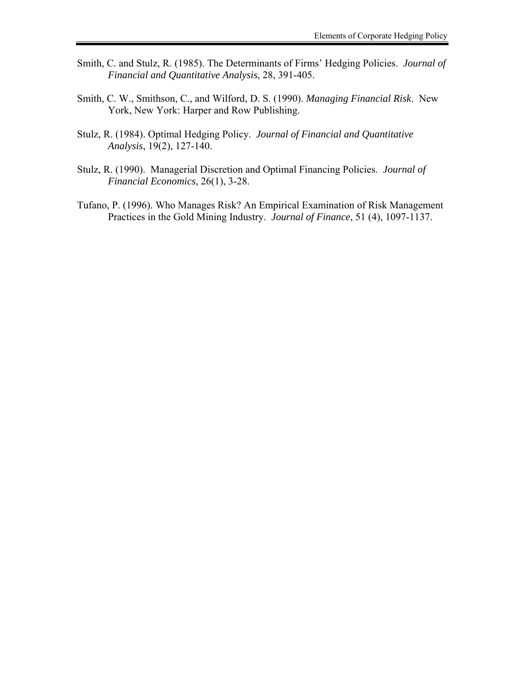- Smith, C. and Stulz, R. (1985). The Determinants of Firms' Hedging Policies. *Journal of Financial and Quantitative Analysis*, 28, 391-405.
- Smith, C. W., Smithson, C., and Wilford, D. S. (1990). *Managing Financial Risk*. New York, New York: Harper and Row Publishing.
- Stulz, R. (1984). Optimal Hedging Policy. *Journal of Financial and Quantitative Analysis*, 19(2), 127-140.
- Stulz, R. (1990). Managerial Discretion and Optimal Financing Policies. *Journal of Financial Economics*, 26(1), 3-28.
- Tufano, P. (1996). Who Manages Risk? An Empirical Examination of Risk Management Practices in the Gold Mining Industry. *Journal of Finance*, 51 (4), 1097-1137.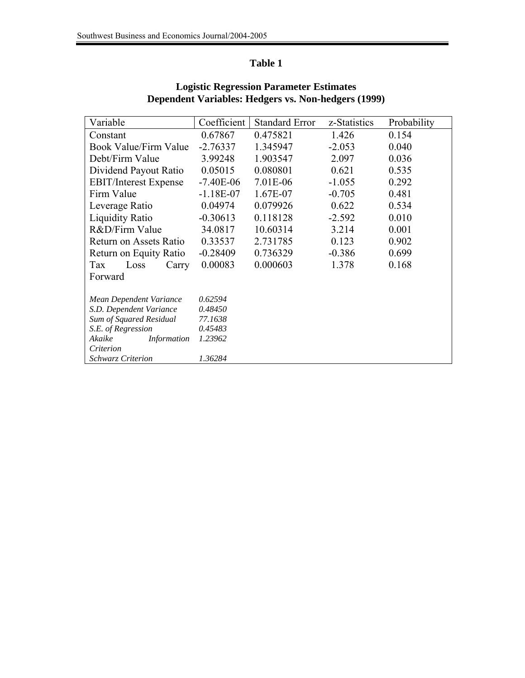# **Table 1**

| Variable                     | Coefficient | <b>Standard Error</b> | z-Statistics | Probability |
|------------------------------|-------------|-----------------------|--------------|-------------|
| Constant                     | 0.67867     | 0.475821              | 1.426        | 0.154       |
| <b>Book Value/Firm Value</b> | $-2.76337$  | 1.345947              | $-2.053$     | 0.040       |
| Debt/Firm Value              | 3.99248     | 1.903547              | 2.097        | 0.036       |
| Dividend Payout Ratio        | 0.05015     | 0.080801              | 0.621        | 0.535       |
| <b>EBIT/Interest Expense</b> | $-7.40E-06$ | 7.01E-06              | $-1.055$     | 0.292       |
| Firm Value                   | $-1.18E-07$ | 1.67E-07              | $-0.705$     | 0.481       |
| Leverage Ratio               | 0.04974     | 0.079926              | 0.622        | 0.534       |
| <b>Liquidity Ratio</b>       | $-0.30613$  | 0.118128              | $-2.592$     | 0.010       |
| R&D/Firm Value               | 34.0817     | 10.60314              | 3.214        | 0.001       |
| Return on Assets Ratio       | 0.33537     | 2.731785              | 0.123        | 0.902       |
| Return on Equity Ratio       | $-0.28409$  | 0.736329              | $-0.386$     | 0.699       |
| Tax<br>Loss<br>Carry         | 0.00083     | 0.000603              | 1.378        | 0.168       |
| Forward                      |             |                       |              |             |
|                              |             |                       |              |             |
| Mean Dependent Variance      | 0.62594     |                       |              |             |
| S.D. Dependent Variance      | 0.48450     |                       |              |             |
| Sum of Squared Residual      | 77.1638     |                       |              |             |
| S.E. of Regression           | 0.45483     |                       |              |             |
| Akaike<br>Information        | 1.23962     |                       |              |             |
| Criterion                    |             |                       |              |             |
| <b>Schwarz Criterion</b>     | 1.36284     |                       |              |             |

## **Logistic Regression Parameter Estimates Dependent Variables: Hedgers vs. Non-hedgers (1999)**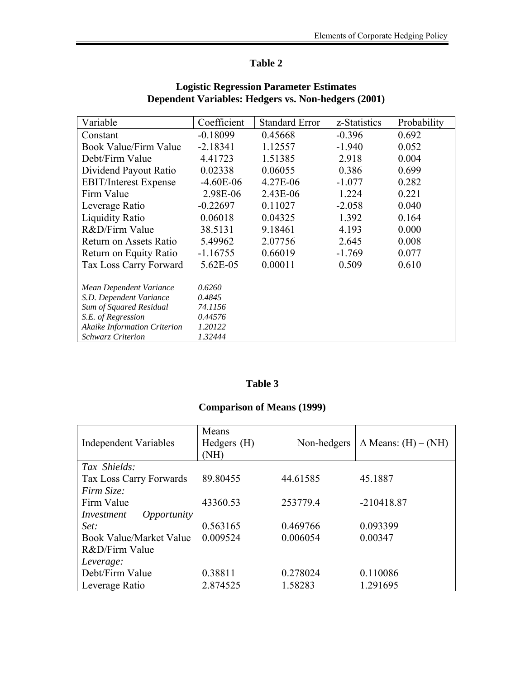# **Table 2**

| Variable                            | Coefficient | <b>Standard Error</b> | z-Statistics | Probability |
|-------------------------------------|-------------|-----------------------|--------------|-------------|
| Constant                            | $-0.18099$  | 0.45668               | $-0.396$     | 0.692       |
| Book Value/Firm Value               | $-2.18341$  | 1.12557               | $-1.940$     | 0.052       |
| Debt/Firm Value                     | 4.41723     | 1.51385               | 2.918        | 0.004       |
| Dividend Payout Ratio               | 0.02338     | 0.06055               | 0.386        | 0.699       |
| <b>EBIT/Interest Expense</b>        | $-4.60E-06$ | 4.27E-06              | $-1.077$     | 0.282       |
| Firm Value                          | 2.98E-06    | 2.43E-06              | 1.224        | 0.221       |
| Leverage Ratio                      | $-0.22697$  | 0.11027               | $-2.058$     | 0.040       |
| <b>Liquidity Ratio</b>              | 0.06018     | 0.04325               | 1.392        | 0.164       |
| R&D/Firm Value                      | 38.5131     | 9.18461               | 4.193        | 0.000       |
| Return on Assets Ratio              | 5.49962     | 2.07756               | 2.645        | 0.008       |
| Return on Equity Ratio              | $-1.16755$  | 0.66019               | $-1.769$     | 0.077       |
| Tax Loss Carry Forward              | 5.62E-05    | 0.00011               | 0.509        | 0.610       |
| Mean Dependent Variance             | 0.6260      |                       |              |             |
| S.D. Dependent Variance             | 0.4845      |                       |              |             |
| Sum of Squared Residual             | 74.1156     |                       |              |             |
| S.E. of Regression                  | 0.44576     |                       |              |             |
| <b>Akaike Information Criterion</b> | 1.20122     |                       |              |             |
| <b>Schwarz Criterion</b>            | 1.32444     |                       |              |             |

## **Logistic Regression Parameter Estimates Dependent Variables: Hedgers vs. Non-hedgers (2001)**

## **Table 3**

# **Comparison of Means (1999)**

| <b>Independent Variables</b>   | Means<br>Hedgers (H)<br>(NH) | Non-hedgers | $\Delta$ Means: (H) – (NH) |
|--------------------------------|------------------------------|-------------|----------------------------|
| Tax Shields:                   |                              |             |                            |
| Tax Loss Carry Forwards        | 89.80455                     | 44.61585    | 45.1887                    |
| Firm Size:                     |                              |             |                            |
| Firm Value                     | 43360.53                     | 253779.4    | $-210418.87$               |
| Opportunity<br>Investment      |                              |             |                            |
| Set:                           | 0.563165                     | 0.469766    | 0.093399                   |
| <b>Book Value/Market Value</b> | 0.009524                     | 0.006054    | 0.00347                    |
| R&D/Firm Value                 |                              |             |                            |
| Leverage:                      |                              |             |                            |
| Debt/Firm Value                | 0.38811                      | 0.278024    | 0.110086                   |
| Leverage Ratio                 | 2.874525                     | 1.58283     | 1.291695                   |